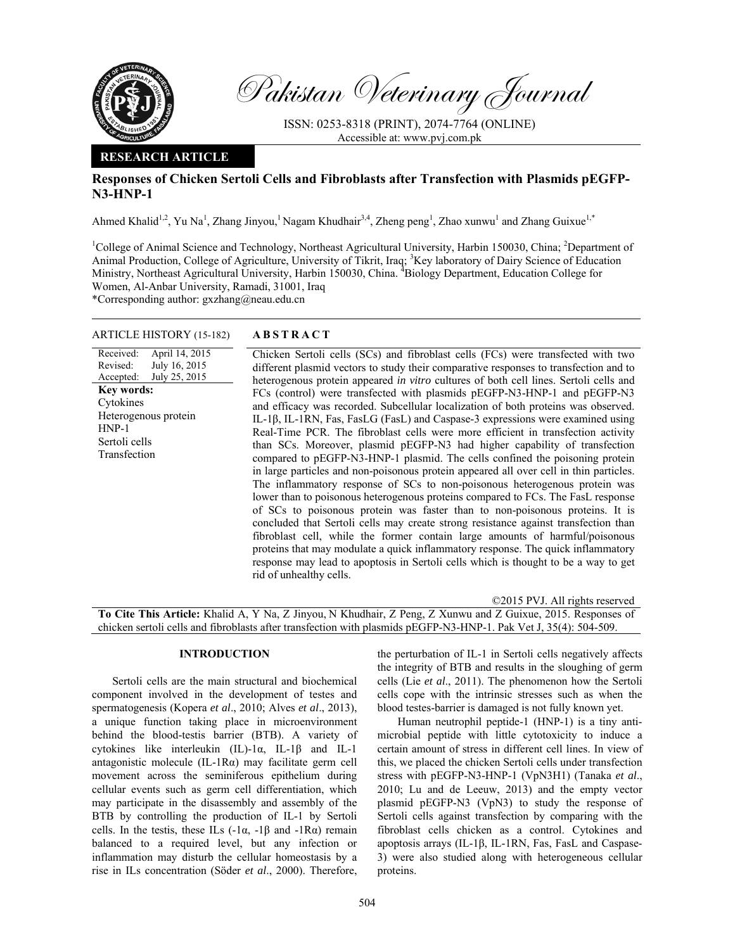

Received: Revised: Accepted:

HNP-1

Pakistan Veterinary Journal

ISSN: 0253-8318 (PRINT), 2074-7764 (ONLINE) Accessible at: www.pvj.com.pk

## **RESEARCH ARTICLE**

# **Responses of Chicken Sertoli Cells and Fibroblasts after Transfection with Plasmids pEGFP-N3-HNP-1**

Ahmed Khalid<sup>1,2</sup>, Yu Na<sup>1</sup>, Zhang Jinyou,<sup>1</sup> Nagam Khudhair<sup>3,4</sup>, Zheng peng<sup>1</sup>, Zhao xunwu<sup>1</sup> and Zhang Guixue<sup>1,\*</sup>

<sup>1</sup>College of Animal Science and Technology, Northeast Agricultural University, Harbin 150030, China; <sup>2</sup>Department of Animal Production, College of Agriculture, University of Tikrit, Iraq; <sup>3</sup>Key laboratory of Dairy Science of Education Ministry, Northeast Agricultural University, Harbin 150030, China. <sup>4</sup>Biology Department, Education College for Women, Al-Anbar University, Ramadi, 31001, Iraq

\*Corresponding author: gxzhang@neau.edu.cn

## ARTICLE HISTORY (15-182) **ABSTRACT**

rid of unhealthy cells.

April 14, 2015 July 16, 2015 July 25, 2015 Chicken Sertoli cells (SCs) and fibroblast cells (FCs) were transfected with two different plasmid vectors to study their comparative responses to transfection and to heterogenous protein appeared *in vitro* cultures of both cell lines. Sertoli cells and FCs (control) were transfected with plasmids pEGFP-N3-HNP-1 and pEGFP-N3 and efficacy was recorded. Subcellular localization of both proteins was observed. IL-1β, IL-1RN, Fas, FasLG (FasL) and Caspase-3 expressions were examined using Real-Time PCR. The fibroblast cells were more efficient in transfection activity than SCs. Moreover, plasmid pEGFP-N3 had higher capability of transfection compared to pEGFP-N3-HNP-1 plasmid. The cells confined the poisoning protein in large particles and non-poisonous protein appeared all over cell in thin particles. The inflammatory response of SCs to non-poisonous heterogenous protein was lower than to poisonous heterogenous proteins compared to FCs. The FasL response of SCs to poisonous protein was faster than to non-poisonous proteins. It is concluded that Sertoli cells may create strong resistance against transfection than fibroblast cell, while the former contain large amounts of harmful/poisonous proteins that may modulate a quick inflammatory response. The quick inflammatory response may lead to apoptosis in Sertoli cells which is thought to be a way to get **Key words:**  Cytokines Heterogenous protein Sertoli cells Transfection

©2015 PVJ. All rights reserved

**To Cite This Article:** Khalid A, Y Na, Z Jinyou, N Khudhair, Z Peng, Z Xunwu and Z Guixue, 2015. Responses of chicken sertoli cells and fibroblasts after transfection with plasmids pEGFP-N3-HNP-1. Pak Vet J, 35(4): 504-509.

## **INTRODUCTION**

Sertoli cells are the main structural and biochemical component involved in the development of testes and spermatogenesis (Kopera *et al*., 2010; Alves *et al*., 2013), a unique function taking place in microenvironment behind the blood-testis barrier (BTB). A variety of cytokines like interleukin (IL)-1α, IL-1β and IL-1 antagonistic molecule (IL-1Rα) may facilitate germ cell movement across the seminiferous epithelium during cellular events such as germ cell differentiation, which may participate in the disassembly and assembly of the BTB by controlling the production of IL-1 by Sertoli cells. In the testis, these ILs  $(-1\alpha, -1\beta \text{ and } -1\text{R}\alpha)$  remain balanced to a required level, but any infection or inflammation may disturb the cellular homeostasis by a rise in ILs concentration (Söder *et al*., 2000). Therefore,

the perturbation of IL-1 in Sertoli cells negatively affects the integrity of BTB and results in the sloughing of germ cells (Lie *et al*., 2011). The phenomenon how the Sertoli cells cope with the intrinsic stresses such as when the blood testes-barrier is damaged is not fully known yet.

Human neutrophil peptide-1 (HNP-1) is a tiny antimicrobial peptide with little cytotoxicity to induce a certain amount of stress in different cell lines. In view of this, we placed the chicken Sertoli cells under transfection stress with pEGFP-N3-HNP-1 (VpN3H1) (Tanaka *et al*., 2010; Lu and de Leeuw, 2013) and the empty vector plasmid pEGFP-N3 (VpN3) to study the response of Sertoli cells against transfection by comparing with the fibroblast cells chicken as a control. Cytokines and apoptosis arrays (IL-1β, IL-1RN, Fas, FasL and Caspase-3) were also studied along with heterogeneous cellular proteins.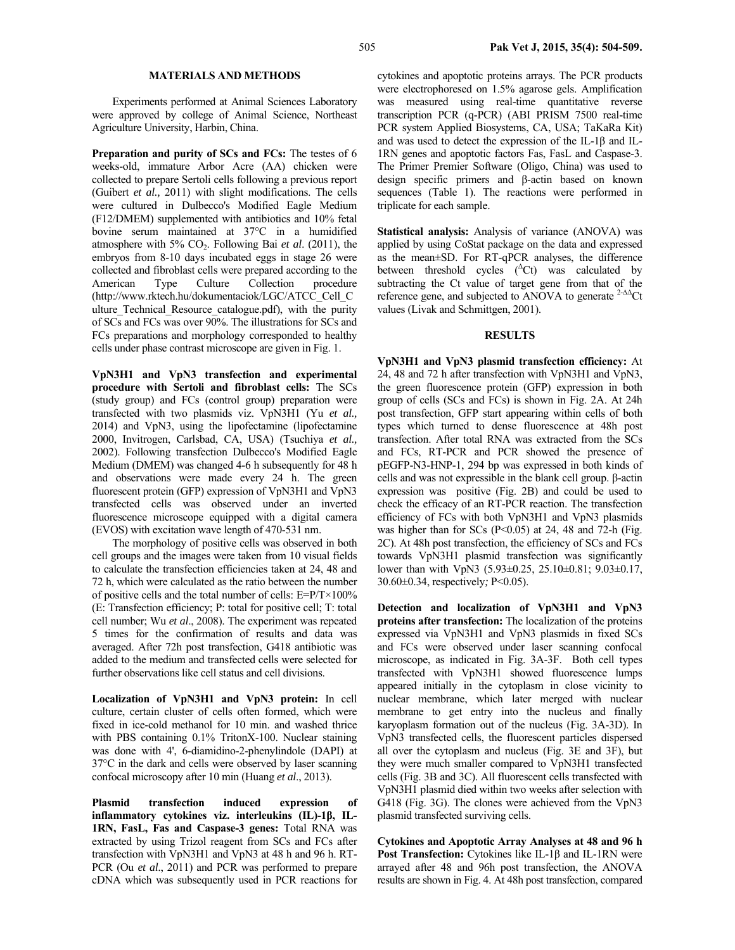## **MATERIALS AND METHODS**

Experiments performed at Animal Sciences Laboratory were approved by college of Animal Science, Northeast Agriculture University, Harbin, China.

**Preparation and purity of SCs and FCs:** The testes of 6 weeks-old, immature Arbor Acre (AA) chicken were collected to prepare Sertoli cells following a previous report (Guibert *et al.,* 2011) with slight modifications. The cells were cultured in Dulbecco's Modified Eagle Medium (F12/DMEM) supplemented with antibiotics and 10% fetal bovine serum maintained at 37°C in a humidified atmosphere with 5% CO2. Following Bai *et al*. (2011), the embryos from 8-10 days incubated eggs in stage 26 were collected and fibroblast cells were prepared according to the American Type Culture Collection procedure (http://www.rktech.hu/dokumentaciok/LGC/ATCC\_Cell\_C ulture\_Technical\_Resource\_catalogue.pdf), with the purity of SCs and FCs was over 90%. The illustrations for SCs and FCs preparations and morphology corresponded to healthy cells under phase contrast microscope are given in Fig. 1.

**VpN3H1 and VpN3 transfection and experimental procedure with Sertoli and fibroblast cells:** The SCs (study group) and FCs (control group) preparation were transfected with two plasmids viz. VpN3H1 (Yu *et al.,* 2014) and VpN3, using the lipofectamine (lipofectamine 2000, Invitrogen, Carlsbad, CA, USA) (Tsuchiya *et al.,* 2002). Following transfection Dulbecco's Modified Eagle Medium (DMEM) was changed 4-6 h subsequently for 48 h and observations were made every 24 h. The green fluorescent protein (GFP) expression of VpN3H1 and VpN3 transfected cells was observed under an inverted fluorescence microscope equipped with a digital camera (EVOS) with excitation wave length of 470-531 nm.

The morphology of positive cells was observed in both cell groups and the images were taken from 10 visual fields to calculate the transfection efficiencies taken at 24, 48 and 72 h, which were calculated as the ratio between the number of positive cells and the total number of cells: E=P/T×100% (E: Transfection efficiency; P: total for positive cell; T: total cell number; Wu *et al*., 2008). The experiment was repeated 5 times for the confirmation of results and data was averaged. After 72h post transfection, G418 antibiotic was added to the medium and transfected cells were selected for further observations like cell status and cell divisions.

**Localization of VpN3H1 and VpN3 protein:** In cell culture, certain cluster of cells often formed, which were fixed in ice-cold methanol for 10 min. and washed thrice with PBS containing 0.1% TritonX-100. Nuclear staining was done with 4', 6-diamidino-2-phenylindole (DAPI) at 37°C in the dark and cells were observed by laser scanning confocal microscopy after 10 min (Huang *et al*., 2013).

**Plasmid transfection induced expression of inflammatory cytokines viz. interleukins (IL)-1β, IL-1RN, FasL, Fas and Caspase-3 genes:** Total RNA was extracted by using Trizol reagent from SCs and FCs after transfection with VpN3H1 and VpN3 at 48 h and 96 h. RT-PCR (Ou *et al*., 2011) and PCR was performed to prepare cDNA which was subsequently used in PCR reactions for

cytokines and apoptotic proteins arrays. The PCR products were electrophoresed on 1.5% agarose gels. Amplification was measured using real-time quantitative reverse transcription PCR (q-PCR) (ABI PRISM 7500 real-time PCR system Applied Biosystems, CA, USA; TaKaRa Kit) and was used to detect the expression of the IL-1β and IL-1RN genes and apoptotic factors Fas, FasL and Caspase-3. The Primer Premier Software (Oligo, China) was used to design specific primers and β-actin based on known sequences (Table 1). The reactions were performed in triplicate for each sample.

**Statistical analysis:** Analysis of variance (ANOVA) was applied by using CoStat package on the data and expressed as the mean±SD. For RT-qPCR analyses, the difference between threshold cycles  $({}^{\Delta}$ Ct) was calculated by subtracting the Ct value of target gene from that of the reference gene, and subjected to ANOVA to generate 2-∆∆Ct values (Livak and Schmittgen, 2001).

### **RESULTS**

**VpN3H1 and VpN3 plasmid transfection efficiency:** At 24, 48 and 72 h after transfection with VpN3H1 and VpN3, the green fluorescence protein (GFP) expression in both group of cells (SCs and FCs) is shown in Fig. 2A. At 24h post transfection, GFP start appearing within cells of both types which turned to dense fluorescence at 48h post transfection. After total RNA was extracted from the SCs and FCs, RT-PCR and PCR showed the presence of pEGFP-N3-HNP-1, 294 bp was expressed in both kinds of cells and was not expressible in the blank cell group. β-actin expression was positive (Fig. 2B) and could be used to check the efficacy of an RT-PCR reaction. The transfection efficiency of FCs with both VpN3H1 and VpN3 plasmids was higher than for SCs ( $P<0.05$ ) at 24, 48 and 72-h (Fig. 2C). At 48h post transfection, the efficiency of SCs and FCs towards VpN3H1 plasmid transfection was significantly lower than with VpN3 (5.93±0.25, 25.10±0.81; 9.03±0.17, 30.60±0.34, respectively*;* P<0.05).

**Detection and localization of VpN3H1 and VpN3 proteins after transfection:** The localization of the proteins expressed via VpN3H1 and VpN3 plasmids in fixed SCs and FCs were observed under laser scanning confocal microscope, as indicated in Fig. 3A-3F. Both cell types transfected with VpN3H1 showed fluorescence lumps appeared initially in the cytoplasm in close vicinity to nuclear membrane, which later merged with nuclear membrane to get entry into the nucleus and finally karyoplasm formation out of the nucleus (Fig. 3A-3D). In VpN3 transfected cells, the fluorescent particles dispersed all over the cytoplasm and nucleus (Fig. 3E and 3F), but they were much smaller compared to VpN3H1 transfected cells (Fig. 3B and 3C). All fluorescent cells transfected with VpN3H1 plasmid died within two weeks after selection with G418 (Fig. 3G). The clones were achieved from the VpN3 plasmid transfected surviving cells.

**Cytokines and Apoptotic Array Analyses at 48 and 96 h Post Transfection:** Cytokines like IL-1β and IL-1RN were arrayed after 48 and 96h post transfection, the ANOVA results are shown in Fig. 4. At 48h post transfection, compared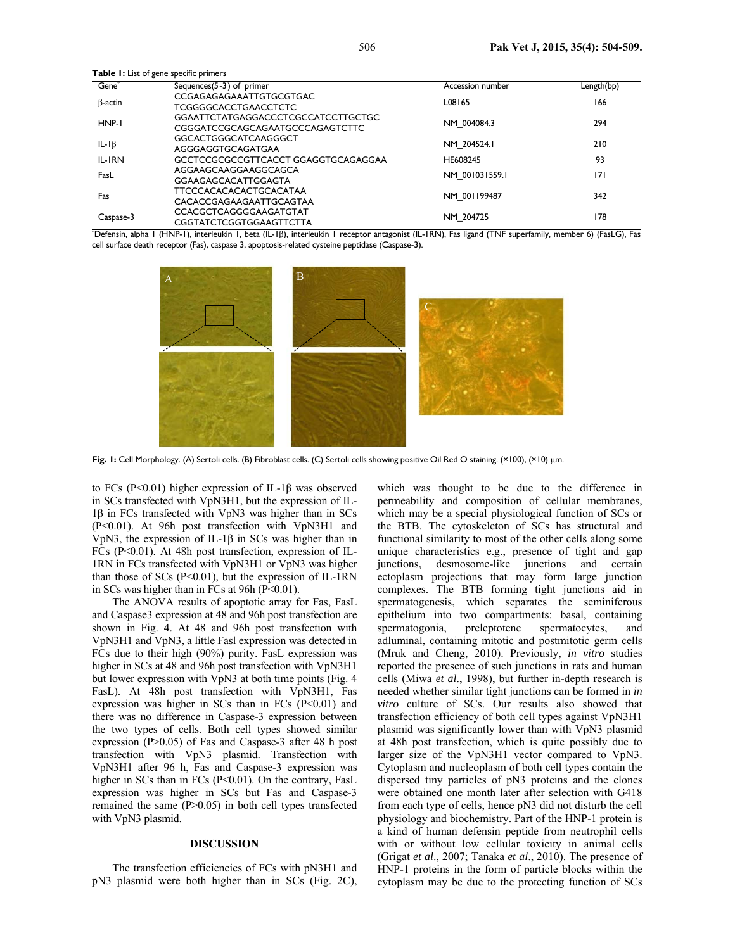**Table 1:** List of gene specific primers

| Gene <sup>®</sup> | Sequences $(5-3)$ of primer         | Accession number | Length(bp) |  |
|-------------------|-------------------------------------|------------------|------------|--|
| $\beta$ -actin    | CCGAGAGAGAAATTGTGCGTGAC             | L08165           | 166        |  |
|                   | TCGGGGCACCTGAACCTCTC                |                  |            |  |
| HNP-I             | GGAATTCTATGAGGACCCTCGCCATCCTTGCTGC  | NM 004084.3      | 294        |  |
|                   | CGGGATCCGCAGCAGAATGCCCAGAGTCTTC     |                  |            |  |
| IL-I $\beta$      | GGCACTGGGCATCAAGGGCT                |                  | 210        |  |
|                   | AGGGAGGTGCAGATGAA                   | NM 204524.1      |            |  |
| IL-IRN            | GCCTCCGCGCCGTTCACCT GGAGGTGCAGAGGAA | HE608245         | 93         |  |
| FasL              | AGGAAGCAAGGAAGGCAGCA                |                  |            |  |
|                   | GGAAGAGCACATTGGAGTA                 | NM 001031559.1   | 171        |  |
| Fas               | <b>TTCCCACACACACTGCACATAA</b>       |                  | 342        |  |
|                   | CACACCGAGAAGAATTGCAGTAA             | NM 001199487     |            |  |
| Caspase-3         | CCACGCTCAGGGGAAGATGTAT              |                  | 178        |  |
|                   | CGGTATCTCGGTGGAAGTTCTTA             | NM 204725        |            |  |
|                   |                                     |                  |            |  |

| "Defensin, alpha I (HNP-1), interleukin I, beta (IL-1ß), interleukin I receptor antagonist (IL-1RN), Fas ligand (TNF superfamily, member 6) (FasLG), Fas |  |  |  |
|----------------------------------------------------------------------------------------------------------------------------------------------------------|--|--|--|
| cell surface death receptor (Fas), caspase 3, apoptosis-related cysteine peptidase (Caspase-3).                                                          |  |  |  |



**Fig. 1:** Cell Morphology. (A) Sertoli cells. (B) Fibroblast cells. (C) Sertoli cells showing positive Oil Red O staining. (×100), (×10) µm.

to FCs (P<0.01) higher expression of IL-1β was observed in SCs transfected with VpN3H1, but the expression of IL-1β in FCs transfected with VpN3 was higher than in SCs (P<0.01). At 96h post transfection with VpN3H1 and VpN3, the expression of IL-1β in SCs was higher than in FCs (P<0.01). At 48h post transfection, expression of IL-1RN in FCs transfected with VpN3H1 or VpN3 was higher than those of SCs  $(P<0.01)$ , but the expression of IL-1RN in SCs was higher than in FCs at  $96h (P<0.01)$ .

The ANOVA results of apoptotic array for Fas, FasL and Caspase3 expression at 48 and 96h post transfection are shown in Fig. 4. At 48 and 96h post transfection with VpN3H1 and VpN3, a little Fasl expression was detected in FCs due to their high (90%) purity. FasL expression was higher in SCs at 48 and 96h post transfection with VpN3H1 but lower expression with VpN3 at both time points (Fig. 4 FasL). At 48h post transfection with VpN3H1, Fas expression was higher in SCs than in FCs  $(P<0.01)$  and there was no difference in Caspase-3 expression between the two types of cells. Both cell types showed similar expression (P>0.05) of Fas and Caspase-3 after 48 h post transfection with VpN3 plasmid. Transfection with VpN3H1 after 96 h, Fas and Caspase-3 expression was higher in SCs than in FCs (P<0.01). On the contrary, FasL expression was higher in SCs but Fas and Caspase-3 remained the same (P>0.05) in both cell types transfected with VpN3 plasmid.

## **DISCUSSION**

The transfection efficiencies of FCs with pN3H1 and pN3 plasmid were both higher than in SCs (Fig. 2C),

which was thought to be due to the difference in permeability and composition of cellular membranes, which may be a special physiological function of SCs or the BTB. The cytoskeleton of SCs has structural and functional similarity to most of the other cells along some unique characteristics e.g., presence of tight and gap junctions, desmosome-like junctions and certain ectoplasm projections that may form large junction complexes. The BTB forming tight junctions aid in spermatogenesis, which separates the seminiferous epithelium into two compartments: basal, containing<br>spermatogonia, preleptotene spermatocytes, and spermatogonia, preleptotene spermatocytes, and adluminal, containing mitotic and postmitotic germ cells (Mruk and Cheng, 2010). Previously, *in vitro* studies reported the presence of such junctions in rats and human cells (Miwa *et al*., 1998), but further in-depth research is needed whether similar tight junctions can be formed in *in vitro* culture of SCs. Our results also showed that transfection efficiency of both cell types against VpN3H1 plasmid was significantly lower than with VpN3 plasmid at 48h post transfection, which is quite possibly due to larger size of the VpN3H1 vector compared to VpN3. Cytoplasm and nucleoplasm of both cell types contain the dispersed tiny particles of pN3 proteins and the clones were obtained one month later after selection with G418 from each type of cells, hence pN3 did not disturb the cell physiology and biochemistry. Part of the HNP-1 protein is a kind of human defensin peptide from neutrophil cells with or without low cellular toxicity in animal cells (Grigat *et al*., 2007; Tanaka *et al*., 2010). The presence of HNP-1 proteins in the form of particle blocks within the cytoplasm may be due to the protecting function of SCs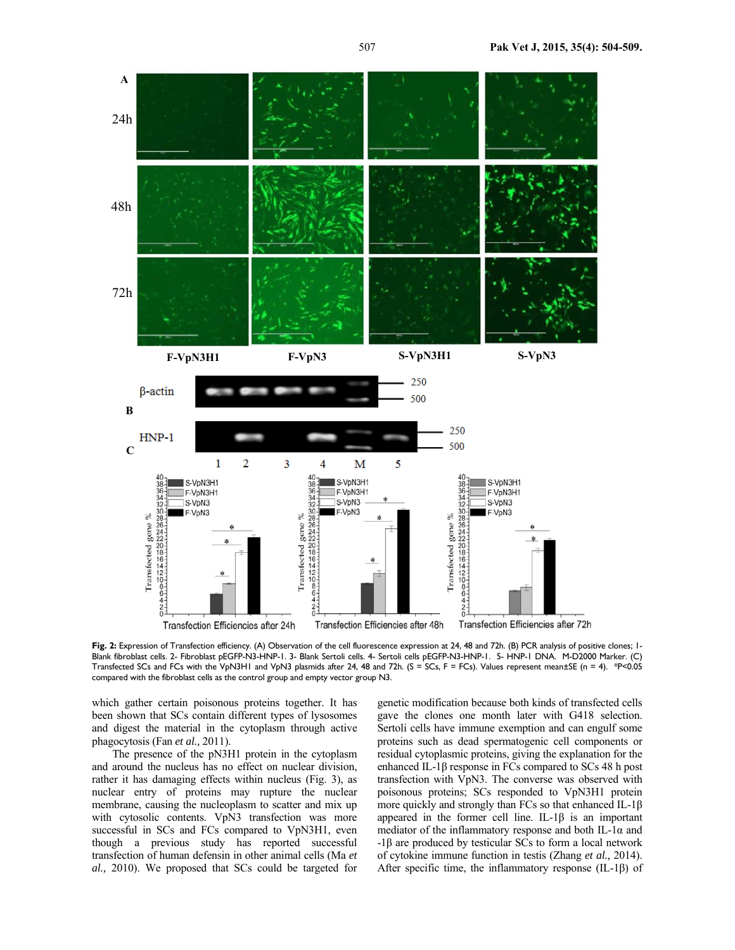

Fig. 2: Expression of Transfection efficiency. (A) Observation of the cell fluorescence expression at 24, 48 and 72h. (B) PCR analysis of positive clones; 1-Blank fibroblast cells. 2- Fibroblast pEGFP-N3-HNP-1. 3- Blank Sertoli cells. 4- Sertoli cells pEGFP-N3-HNP-1. 5- HNP-1 DNA. M-D2000 Marker. (C) Transfected SCs and FCs with the VpN3H1 and VpN3 plasmids after 24, 48 and 72h. (S = SCs, F = FCs). Values represent mean±SE (n = 4). \*P<0.05 compared with the fibroblast cells as the control group and empty vector group N3.

which gather certain poisonous proteins together. It has been shown that SCs contain different types of lysosomes and digest the material in the cytoplasm through active phagocytosis (Fan *et al.,* 2011).

The presence of the pN3H1 protein in the cytoplasm and around the nucleus has no effect on nuclear division, rather it has damaging effects within nucleus (Fig. 3), as nuclear entry of proteins may rupture the nuclear membrane, causing the nucleoplasm to scatter and mix up with cytosolic contents. VpN3 transfection was more successful in SCs and FCs compared to VpN3H1, even though a previous study has reported successful transfection of human defensin in other animal cells (Ma *et al.,* 2010). We proposed that SCs could be targeted for genetic modification because both kinds of transfected cells gave the clones one month later with G418 selection. Sertoli cells have immune exemption and can engulf some proteins such as dead spermatogenic cell components or residual cytoplasmic proteins, giving the explanation for the enhanced IL-1β response in FCs compared to SCs 48 h post transfection with VpN3. The converse was observed with poisonous proteins; SCs responded to VpN3H1 protein more quickly and strongly than FCs so that enhanced IL-1β appeared in the former cell line. IL-1β is an important mediator of the inflammatory response and both IL-1 $\alpha$  and -1β are produced by testicular SCs to form a local network of cytokine immune function in testis (Zhang *et al.,* 2014). After specific time, the inflammatory response (IL-1β) of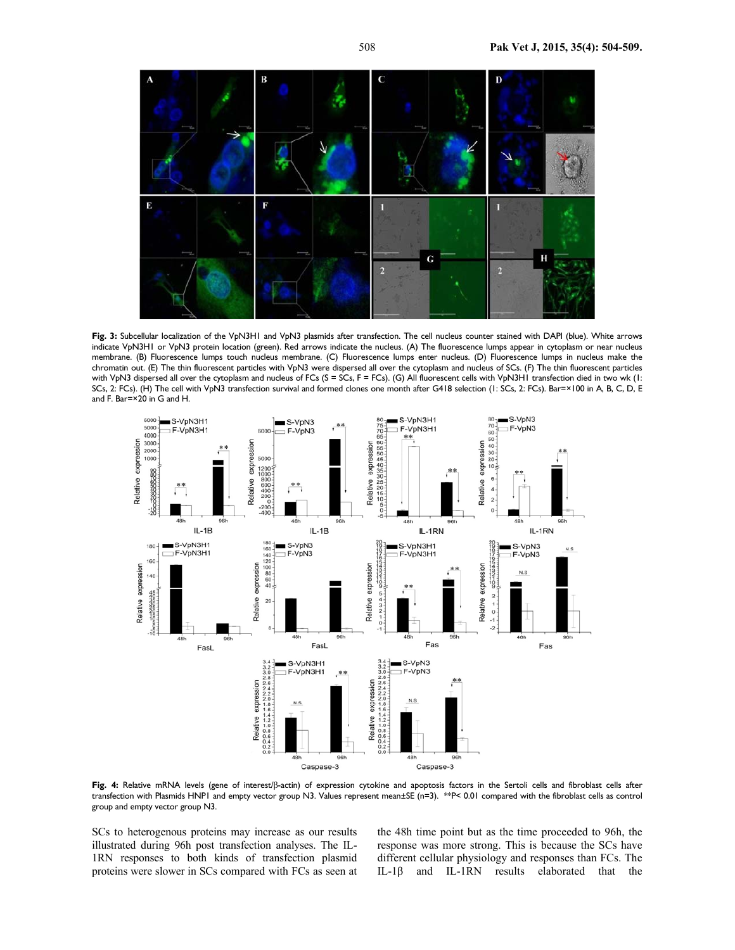

**Fig. 3:** Subcellular localization of the VpN3H1 and VpN3 plasmids after transfection. The cell nucleus counter stained with DAPI (blue). White arrows indicate VpN3H1 or VpN3 protein location (green). Red arrows indicate the nucleus. (A) The fluorescence lumps appear in cytoplasm or near nucleus membrane. (B) Fluorescence lumps touch nucleus membrane. (C) Fluorescence lumps enter nucleus. (D) Fluorescence lumps in nucleus make the chromatin out. (E) The thin fluorescent particles with VpN3 were dispersed all over the cytoplasm and nucleus of SCs. (F) The thin fluorescent particles with VpN3 dispersed all over the cytoplasm and nucleus of FCs (S = SCs, F = FCs). (G) All fluorescent cells with VpN3H1 transfection died in two wk (1: SCs, 2: FCs). (H) The cell with VpN3 transfection survival and formed clones one month after G418 selection (1: SCs, 2: FCs). Bar=×100 in A, B, C, D, E and F. Bar=×20 in G and H.



**Fig. 4:** Relative mRNA levels (gene of interest/β-actin) of expression cytokine and apoptosis factors in the Sertoli cells and fibroblast cells after transfection with Plasmids HNP1 and empty vector group N3. Values represent mean±SE (n=3). \*\*P< 0.01 compared with the fibroblast cells as control group and empty vector group N3.

SCs to heterogenous proteins may increase as our results illustrated during 96h post transfection analyses. The IL-1RN responses to both kinds of transfection plasmid proteins were slower in SCs compared with FCs as seen at the 48h time point but as the time proceeded to 96h, the response was more strong. This is because the SCs have different cellular physiology and responses than FCs. The IL-1β and IL-1RN results elaborated that the